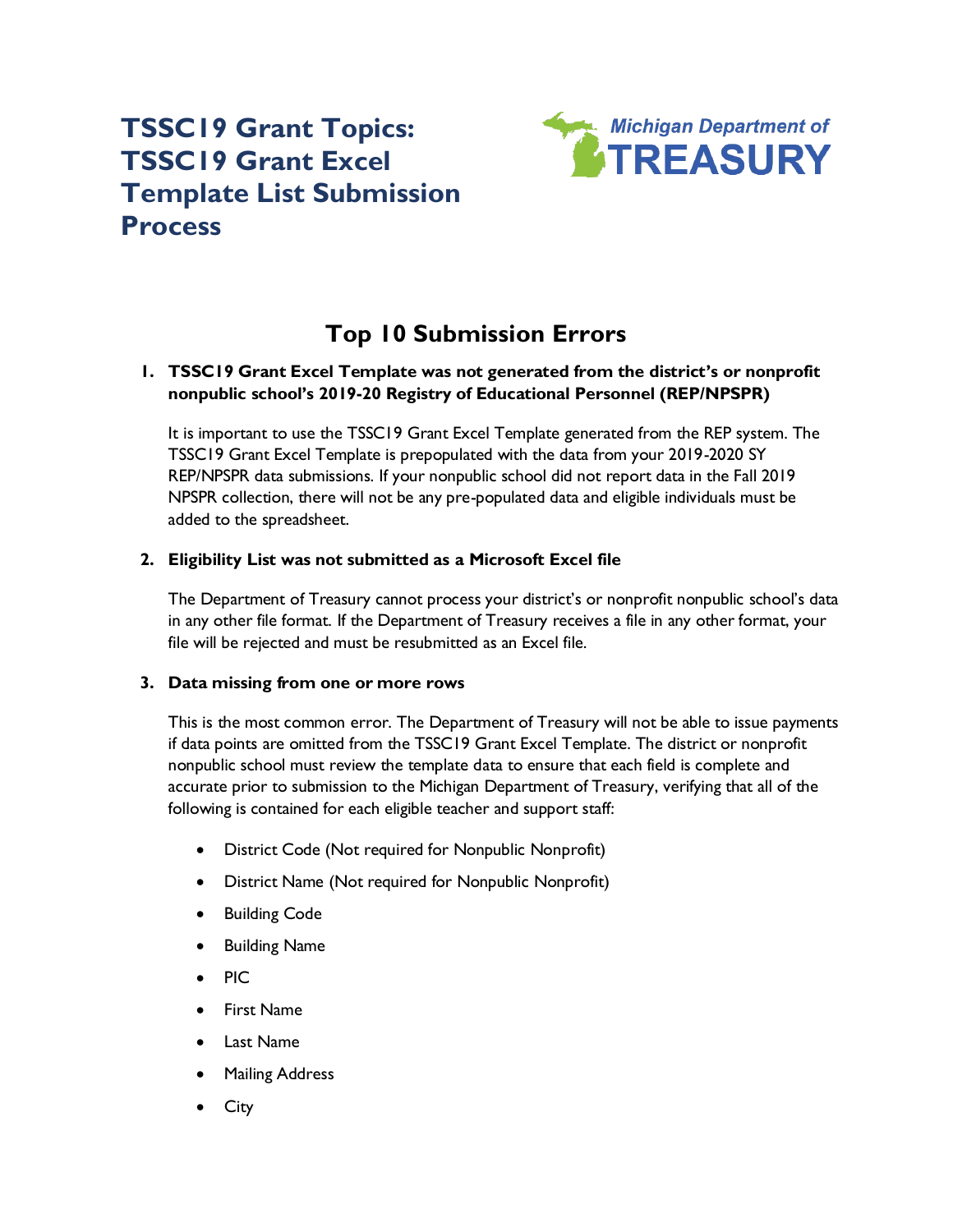# **TSSC19 Grant Topics: TSSC19 Grant Excel Template List Submission Process**



# **Top 10 Submission Errors**

# **1. TSSC19 Grant Excel Template was not generated from the district's or nonprofit nonpublic school's 2019-20 Registry of Educational Personnel (REP/NPSPR)**

It is important to use the TSSC19 Grant Excel Template generated from the REP system. The TSSC19 Grant Excel Template is prepopulated with the data from your 2019-2020 SY REP/NPSPR data submissions. If your nonpublic school did not report data in the Fall 2019 NPSPR collection, there will not be any pre-populated data and eligible individuals must be added to the spreadsheet.

# **2. Eligibility List was not submitted as a Microsoft Excel file**

The Department of Treasury cannot process your district's or nonprofit nonpublic school's data in any other file format. If the Department of Treasury receives a file in any other format, your file will be rejected and must be resubmitted as an Excel file.

#### **3. Data missing from one or more rows**

This is the most common error. The Department of Treasury will not be able to issue payments if data points are omitted from the TSSC19 Grant Excel Template. The district or nonprofit nonpublic school must review the template data to ensure that each field is complete and accurate prior to submission to the Michigan Department of Treasury, verifying that all of the following is contained for each eligible teacher and support staff:

- District Code (Not required for Nonpublic Nonprofit)
- District Name (Not required for Nonpublic Nonprofit)
- Building Code
- Building Name
- PIC
- First Name
- Last Name
- Mailing Address
- **City**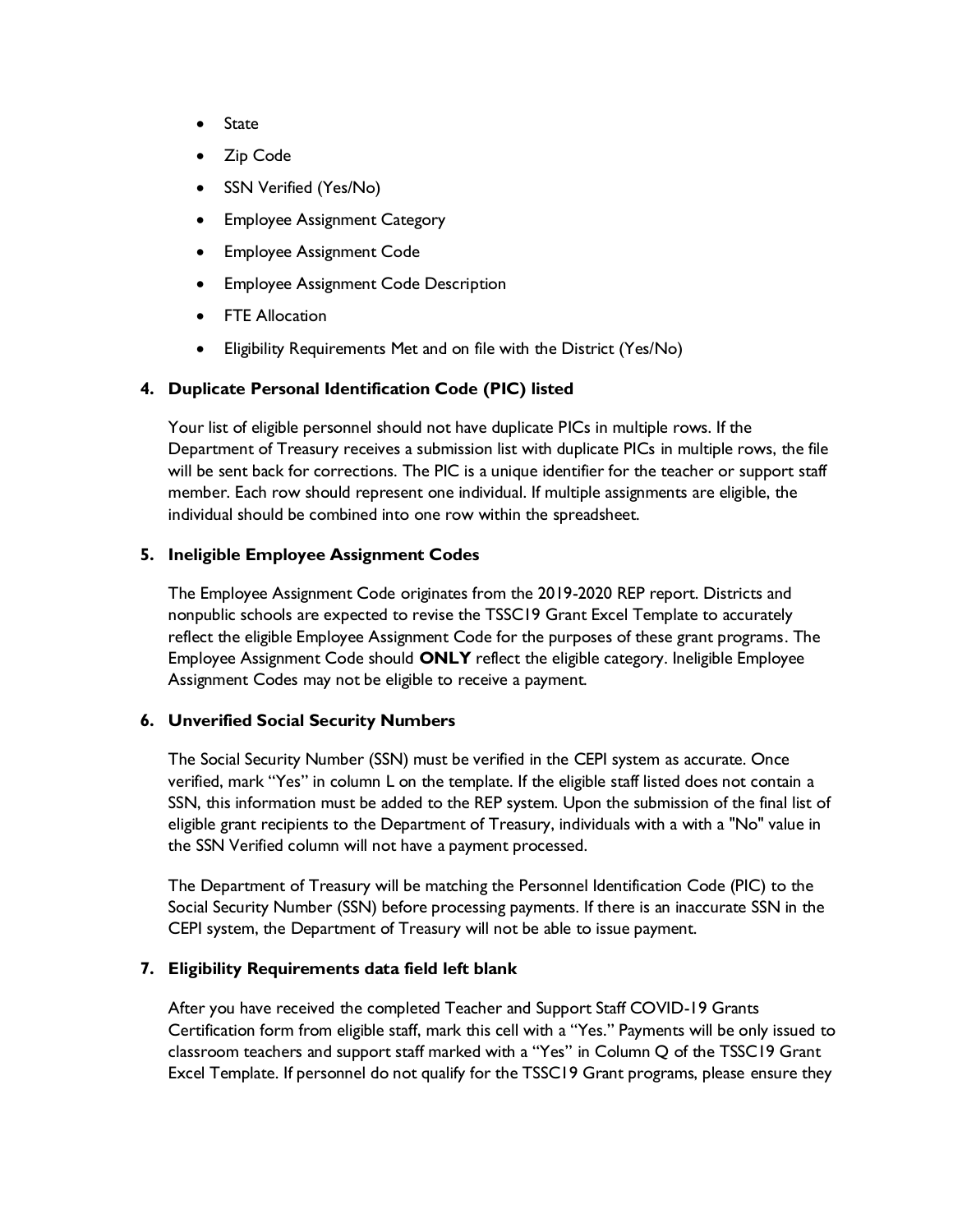- State
- Zip Code
- SSN Verified (Yes/No)
- Employee Assignment Category
- Employee Assignment Code
- Employee Assignment Code Description
- **FTE Allocation**
- Eligibility Requirements Met and on file with the District (Yes/No)

# **4. Duplicate Personal Identification Code (PIC) listed**

Your list of eligible personnel should not have duplicate PICs in multiple rows. If the Department of Treasury receives a submission list with duplicate PICs in multiple rows, the file will be sent back for corrections. The PIC is a unique identifier for the teacher or support staff member. Each row should represent one individual. If multiple assignments are eligible, the individual should be combined into one row within the spreadsheet.

#### **5. Ineligible Employee Assignment Codes**

The Employee Assignment Code originates from the 2019-2020 REP report. Districts and nonpublic schools are expected to revise the TSSC19 Grant Excel Template to accurately reflect the eligible Employee Assignment Code for the purposes of these grant programs. The Employee Assignment Code should **ONLY** reflect the eligible category. Ineligible Employee Assignment Codes may not be eligible to receive a payment.

#### **6. Unverified Social Security Numbers**

The Social Security Number (SSN) must be verified in the CEPI system as accurate. Once verified, mark "Yes" in column L on the template. If the eligible staff listed does not contain a SSN, this information must be added to the REP system. Upon the submission of the final list of eligible grant recipients to the Department of Treasury, individuals with a with a "No" value in the SSN Verified column will not have a payment processed.

The Department of Treasury will be matching the Personnel Identification Code (PIC) to the Social Security Number (SSN) before processing payments. If there is an inaccurate SSN in the CEPI system, the Department of Treasury will not be able to issue payment.

#### **7. Eligibility Requirements data field left blank**

After you have received the completed Teacher and Support Staff COVID-19 Grants Certification form from eligible staff, mark this cell with a "Yes." Payments will be only issued to classroom teachers and support staff marked with a "Yes" in Column Q of the TSSC19 Grant Excel Template. If personnel do not qualify for the TSSC19 Grant programs, please ensure they